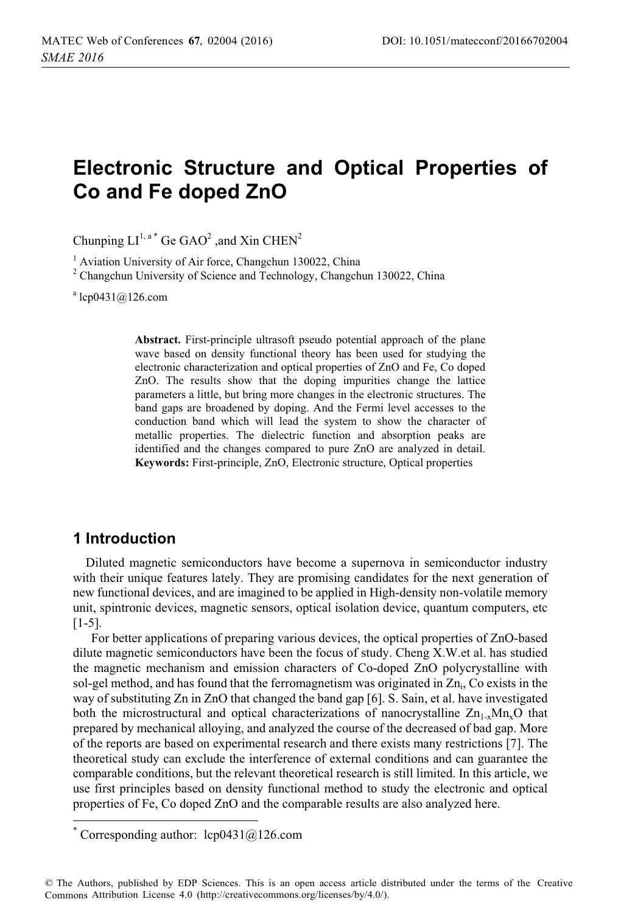# **Electronic Structure and Optical Properties of Co and Fe doped ZnO**

Chunping  $LI^{1, a}$ <sup>\*</sup> Ge GAO<sup>2</sup> ,and Xin CHEN<sup>2</sup>

<sup>1</sup> Aviation University of Air force, Changchun 130022, China

<sup>2</sup> Changchun University of Science and Technology, Changchun 130022, China

a lcp0431@126.com

**Abstract.** First-principle ultrasoft pseudo potential approach of the plane wave based on density functional theory has been used for studying the electronic characterization and optical properties of ZnO and Fe, Co doped ZnO. The results show that the doping impurities change the lattice parameters a little, but bring more changes in the electronic structures. The band gaps are broadened by doping. And the Fermi level accesses to the conduction band which will lead the system to show the character of metallic properties. The dielectric function and absorption peaks are identified and the changes compared to pure ZnO are analyzed in detail. **Keywords:** First-principle, ZnO, Electronic structure, Optical properties

### **1 Introduction**

 $\overline{a}$ 

Diluted magnetic semiconductors have become a supernova in semiconductor industry with their unique features lately. They are promising candidates for the next generation of new functional devices, and are imagined to be applied in High-density non-volatile memory unit, spintronic devices, magnetic sensors, optical isolation device, quantum computers, etc [1-5].

For better applications of preparing various devices, the optical properties of ZnO-based dilute magnetic semiconductors have been the focus of study. Cheng X.W.et al. has studied the magnetic mechanism and emission characters of Co-doped ZnO polycrystalline with sol-gel method, and has found that the ferromagnetism was originated in  $Zn_i$ , Co exists in the way of substituting Zn in ZnO that changed the band gap [6]. S. Sain, et al. have investigated both the microstructural and optical characterizations of nanocrystalline  $\rm Zn_{1-x}Mn_{x}O$  that prepared by mechanical alloying, and analyzed the course of the decreased of bad gap. More of the reports are based on experimental research and there exists many restrictions [7]. The theoretical study can exclude the interference of external conditions and can guarantee the comparable conditions, but the relevant theoretical research is still limited. In this article, we use first principles based on density functional method to study the electronic and optical properties of Fe, Co doped ZnO and the comparable results are also analyzed here.

<sup>\*</sup> Corresponding author: lcp0431@126.com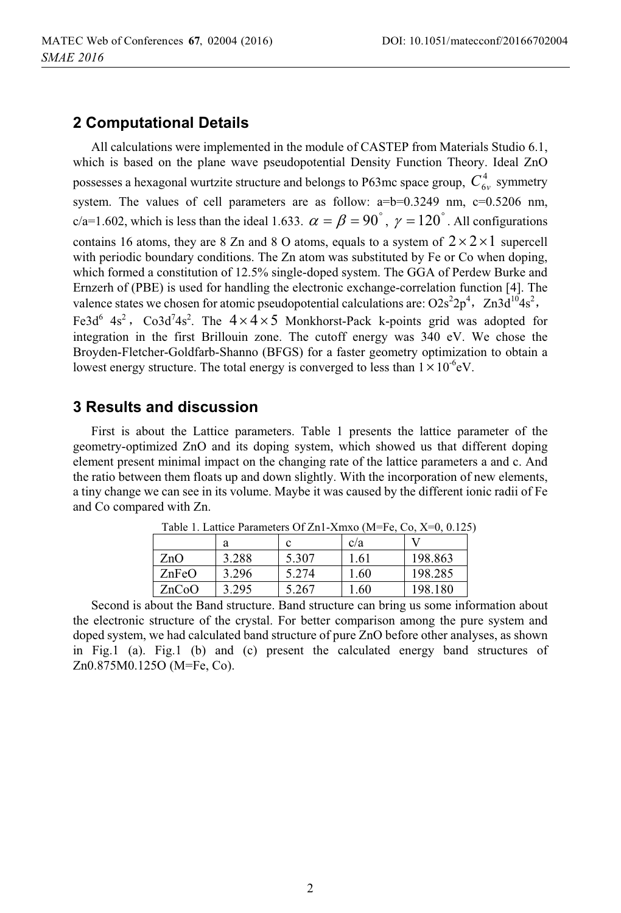## **2 Computational Details**

All calculations were implemented in the module of CASTEP from Materials Studio 6.1, which is based on the plane wave pseudopotential Density Function Theory. Ideal ZnO possesses a hexagonal wurtzite structure and belongs to P63mc space group,  $C<sub>6</sub><sup>4</sup>$  symmetry system. The values of cell parameters are as follow:  $a=b=0.3249$  nm,  $c=0.5206$  nm, c/a=1.602, which is less than the ideal 1.633.  $\alpha = \beta = 90^\circ$ ,  $\gamma = 120^\circ$ . All configurations contains 16 atoms, they are 8 Zn and 8 O atoms, equals to a system of  $2 \times 2 \times 1$  supercell with periodic boundary conditions. The Zn atom was substituted by Fe or Co when doping, which formed a constitution of 12.5% single-doped system. The GGA of Perdew Burke and Ernzerh of (PBE) is used for handling the electronic exchange-correlation function [4]. The valence states we chosen for atomic pseudopotential calculations are:  $O2s^22p^4$ ,  $Zn3d^{10}4s^2$ , Fe3d<sup>6</sup> 4s<sup>2</sup>, Co3d<sup>7</sup>4s<sup>2</sup>. The  $4 \times 4 \times 5$  Monkhorst-Pack k-points grid was adopted for integration in the first Brillouin zone. The cutoff energy was 340 eV. We chose the Broyden-Fletcher-Goldfarb-Shanno (BFGS) for a faster geometry optimization to obtain a lowest energy structure. The total energy is converged to less than  $1 \times 10^{-6}$ eV.

## **3 Results and discussion**

First is about the Lattice parameters. Table 1 presents the lattice parameter of the geometry-optimized ZnO and its doping system, which showed us that different doping element present minimal impact on the changing rate of the lattice parameters a and c. And the ratio between them floats up and down slightly. With the incorporation of new elements, a tiny change we can see in its volume. Maybe it was caused by the different ionic radii of Fe and Co compared with Zn.

| Table 1. Lattice Parameters OI Zn1-Amx0 (M=Fe, Co, $\Lambda$ =0, 0.125 |       |       |      |         |
|------------------------------------------------------------------------|-------|-------|------|---------|
|                                                                        | а     |       | c/a  |         |
| ZnO                                                                    | 3.288 | 5.307 | 1.61 | 198.863 |
| ZnFeO                                                                  | 3.296 | 5.274 | 1.60 | 198.285 |
| ZnCoO                                                                  | 3.295 | 5.267 | 1.60 | 198.180 |

Table 1. Lattice Parameters Of Zn1-Xmxo (M=Fe, Co, X=0, 0.125)

Second is about the Band structure. Band structure can bring us some information about the electronic structure of the crystal. For better comparison among the pure system and doped system, we had calculated band structure of pure ZnO before other analyses, as shown in Fig.1 (a). Fig.1 (b) and (c) present the calculated energy band structures of Zn0.875M0.125O (M=Fe, Co).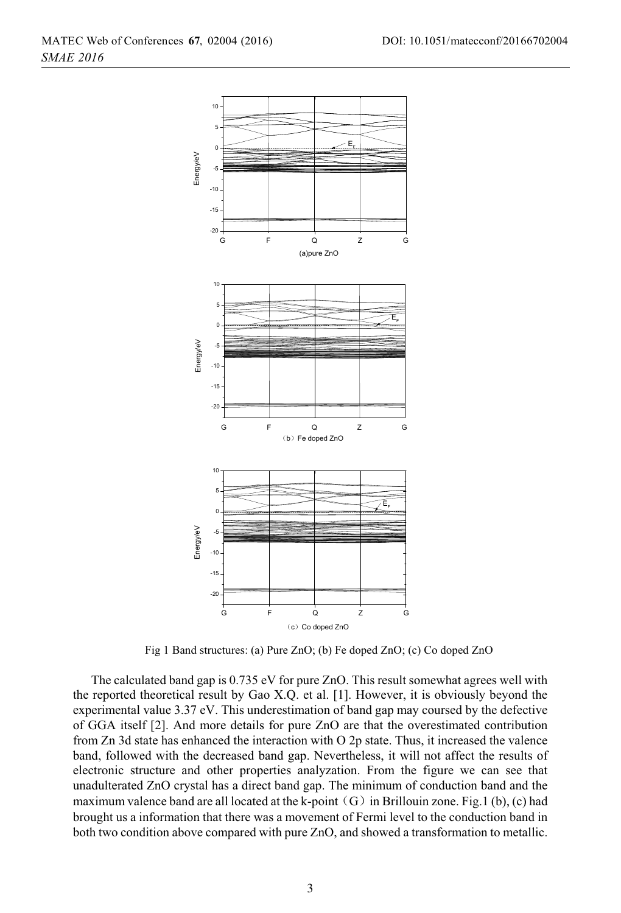

Fig 1 Band structures: (a) Pure ZnO; (b) Fe doped ZnO; (c) Co doped ZnO

The calculated band gap is 0.735 eV for pure ZnO. This result somewhat agrees well with the reported theoretical result by Gao X.Q. et al. [1]. However, it is obviously beyond the experimental value 3.37 eV. This underestimation of band gap may coursed by the defective of GGA itself [2]. And more details for pure ZnO are that the overestimated contribution from Zn 3d state has enhanced the interaction with O 2p state. Thus, it increased the valence band, followed with the decreased band gap. Nevertheless, it will not affect the results of electronic structure and other properties analyzation. From the figure we can see that unadulterated ZnO crystal has a direct band gap. The minimum of conduction band and the maximum valence band are all located at the k-point  $(G)$  in Brillouin zone. Fig.1 (b), (c) had brought us a information that there was a movement of Fermi level to the conduction band in both two condition above compared with pure ZnO, and showed a transformation to metallic.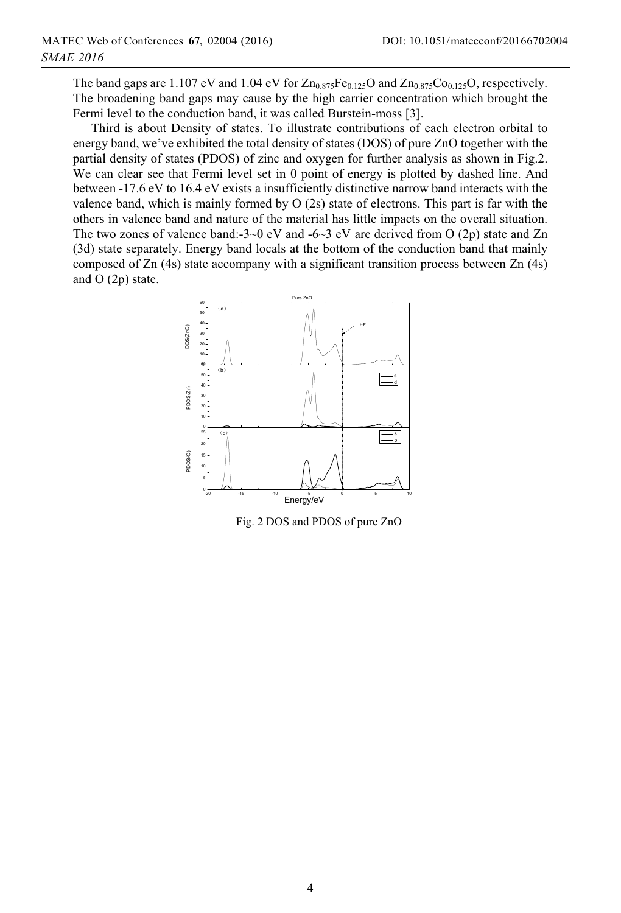The band gaps are 1.107 eV and 1.04 eV for  $Zn_{0.875}Fe_{0.125}O$  and  $Zn_{0.875}Co_{0.125}O$ , respectively. The broadening band gaps may cause by the high carrier concentration which brought the Fermi level to the conduction band, it was called Burstein-moss [3].

Third is about Density of states. To illustrate contributions of each electron orbital to energy band, we've exhibited the total density of states (DOS) of pure ZnO together with the partial density of states (PDOS) of zinc and oxygen for further analysis as shown in Fig.2. We can clear see that Fermi level set in 0 point of energy is plotted by dashed line. And between -17.6 eV to 16.4 eV exists a insufficiently distinctive narrow band interacts with the valence band, which is mainly formed by O (2s) state of electrons. This part is far with the others in valence band and nature of the material has little impacts on the overall situation. The two zones of valence band:-3~0 eV and -6~3 eV are derived from O (2p) state and Zn (3d) state separately. Energy band locals at the bottom of the conduction band that mainly composed of Zn (4s) state accompany with a significant transition process between Zn (4s) and O (2p) state.



Fig. 2 DOS and PDOS of pure ZnO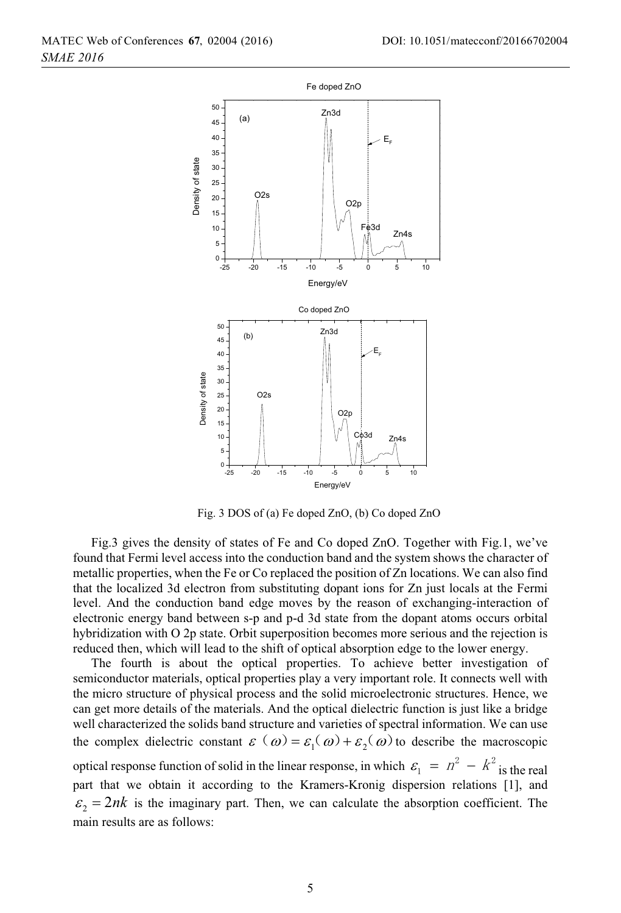

Fig. 3 DOS of (a) Fe doped ZnO, (b) Co doped ZnO

Fig.3 gives the density of states of Fe and Co doped ZnO. Together with Fig.1, we've found that Fermi level access into the conduction band and the system shows the character of metallic properties, when the Fe or Co replaced the position of Zn locations. We can also find that the localized 3d electron from substituting dopant ions for Zn just locals at the Fermi level. And the conduction band edge moves by the reason of exchanging-interaction of electronic energy band between s-p and p-d 3d state from the dopant atoms occurs orbital hybridization with O 2p state. Orbit superposition becomes more serious and the rejection is reduced then, which will lead to the shift of optical absorption edge to the lower energy.

The fourth is about the optical properties. To achieve better investigation of semiconductor materials, optical properties play a very important role. It connects well with the micro structure of physical process and the solid microelectronic structures. Hence, we can get more details of the materials. And the optical dielectric function is just like a bridge well characterized the solids band structure and varieties of spectral information. We can use the complex dielectric constant  $\varepsilon(\omega) = \varepsilon_1(\omega) + \varepsilon_2(\omega)$  to describe the macroscopic optical response function of solid in the linear response, in which  $\varepsilon_1 = n^2 - k^2$  is the real part that we obtain it according to the Kramers-Kronig dispersion relations [1], and  $\epsilon_2 = 2nk$  is the imaginary part. Then, we can calculate the absorption coefficient. The main results are as follows: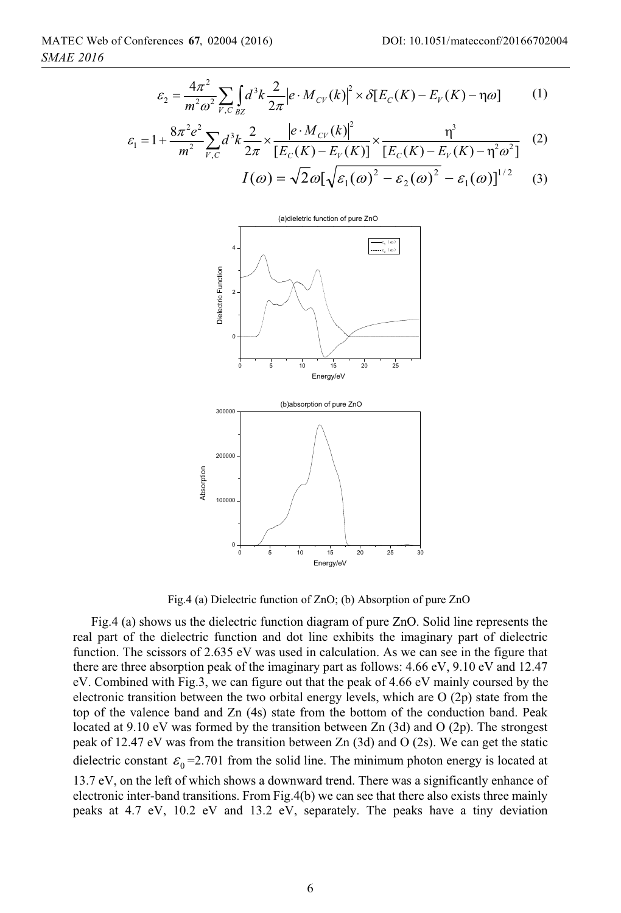1

$$
\varepsilon_{2} = \frac{4\pi^{2}}{m^{2}\omega^{2}} \sum_{V,C} \int_{BZ} d^{3}k \frac{2}{2\pi} \Big| e \cdot M_{CV}(k) \Big|^{2} \times \delta \Big[ E_{C}(K) - E_{V}(K) - \eta \omega \Big] \tag{1}
$$

$$
\varepsilon_{1} = 1 + \frac{8\pi^{2}e^{2}}{m^{2}}\sum_{V,C} d^{3}k \frac{2}{2\pi} \times \frac{\left|e \cdot M_{CV}(k)\right|^{2}}{\left[E_{C}(K) - E_{V}(K)\right]} \times \frac{\eta^{3}}{\left[E_{C}(K) - E_{V}(K) - \eta^{2}\omega^{2}\right]} \tag{2}
$$
\n
$$
I(\omega) = \sqrt{2}\omega[\sqrt{\varepsilon_{1}(\omega)^{2} - \varepsilon_{2}(\omega)^{2}} - \varepsilon_{1}(\omega)]^{1/2} \tag{3}
$$



Fig.4 (a) Dielectric function of ZnO; (b) Absorption of pure ZnO

Fig.4 (a) shows us the dielectric function diagram of pure ZnO. Solid line represents the real part of the dielectric function and dot line exhibits the imaginary part of dielectric function. The scissors of 2.635 eV was used in calculation. As we can see in the figure that there are three absorption peak of the imaginary part as follows: 4.66 eV, 9.10 eV and 12.47 eV. Combined with Fig.3, we can figure out that the peak of 4.66 eV mainly coursed by the electronic transition between the two orbital energy levels, which are O (2p) state from the top of the valence band and Zn (4s) state from the bottom of the conduction band. Peak located at 9.10 eV was formed by the transition between Zn (3d) and O (2p). The strongest peak of 12.47 eV was from the transition between Zn (3d) and O (2s). We can get the static dielectric constant  $\varepsilon_0 = 2.701$  from the solid line. The minimum photon energy is located at 13.7 eV, on the left of which shows a downward trend. There was a significantly enhance of electronic inter-band transitions. From Fig.4(b) we can see that there also exists three mainly peaks at 4.7 eV, 10.2 eV and 13.2 eV, separately. The peaks have a tiny deviation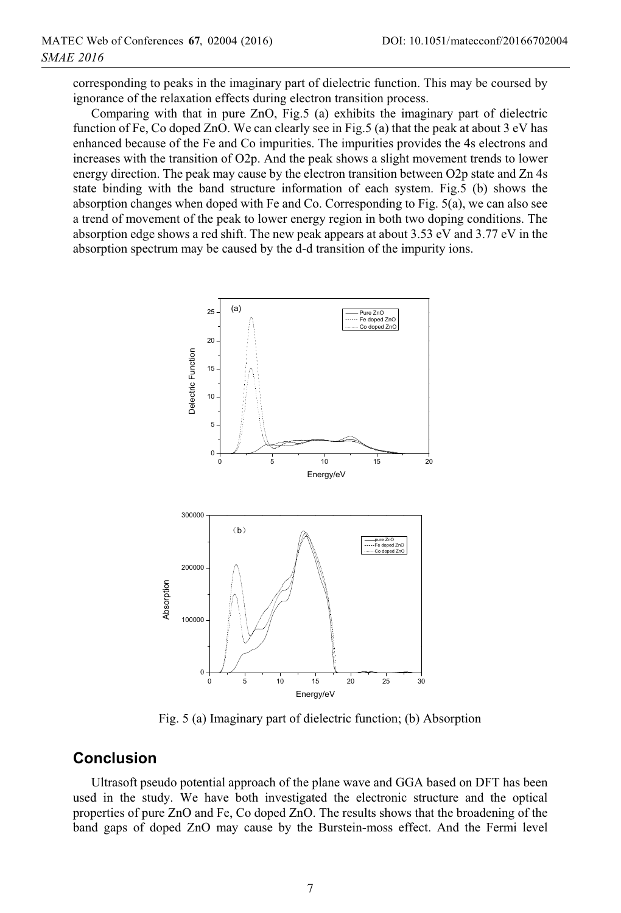corresponding to peaks in the imaginary part of dielectric function. This may be coursed by ignorance of the relaxation effects during electron transition process.

Comparing with that in pure ZnO, Fig.5 (a) exhibits the imaginary part of dielectric function of Fe, Co doped ZnO. We can clearly see in Fig.5 (a) that the peak at about 3 eV has enhanced because of the Fe and Co impurities. The impurities provides the 4s electrons and increases with the transition of O2p. And the peak shows a slight movement trends to lower energy direction. The peak may cause by the electron transition between O2p state and Zn 4s state binding with the band structure information of each system. Fig.5 (b) shows the absorption changes when doped with Fe and Co. Corresponding to Fig. 5(a), we can also see a trend of movement of the peak to lower energy region in both two doping conditions. The absorption edge shows a red shift. The new peak appears at about 3.53 eV and 3.77 eV in the absorption spectrum may be caused by the d-d transition of the impurity ions.



Fig. 5 (a) Imaginary part of dielectric function; (b) Absorption

### **Conclusion**

Ultrasoft pseudo potential approach of the plane wave and GGA based on DFT has been used in the study. We have both investigated the electronic structure and the optical properties of pure ZnO and Fe, Co doped ZnO. The results shows that the broadening of the band gaps of doped ZnO may cause by the Burstein-moss effect. And the Fermi level